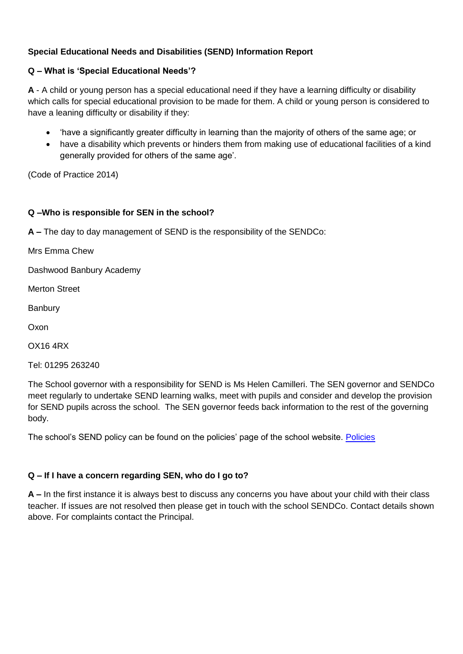# **Special Educational Needs and Disabilities (SEND) Information Report**

### **Q – What is 'Special Educational Needs'?**

**A** - A child or young person has a special educational need if they have a learning difficulty or disability which calls for special educational provision to be made for them. A child or young person is considered to have a leaning difficulty or disability if they:

- 'have a significantly greater difficulty in learning than the majority of others of the same age; or
- have a disability which prevents or hinders them from making use of educational facilities of a kind generally provided for others of the same age'.

(Code of Practice 2014)

### **Q –Who is responsible for SEN in the school?**

**A –** The day to day management of SEND is the responsibility of the SENDCo:

Mrs Emma Chew

Dashwood Banbury Academy

Merton Street

Banbury

Oxon

OX16 4RX

Tel: 01295 263240

The School governor with a responsibility for SEND is Ms Helen Camilleri. The SEN governor and SENDCo meet regularly to undertake SEND learning walks, meet with pupils and consider and develop the provision for SEND pupils across the school. The SEN governor feeds back information to the rest of the governing body.

The school's SEND policy can be found on the policies' page of the school website. [Policies](https://dashwood.academies.aspirationsacademies.org/statutory-information/policies/)

### **Q – If I have a concern regarding SEN, who do I go to?**

**A –** In the first instance it is always best to discuss any concerns you have about your child with their class teacher. If issues are not resolved then please get in touch with the school SENDCo. Contact details shown above. For complaints contact the Principal.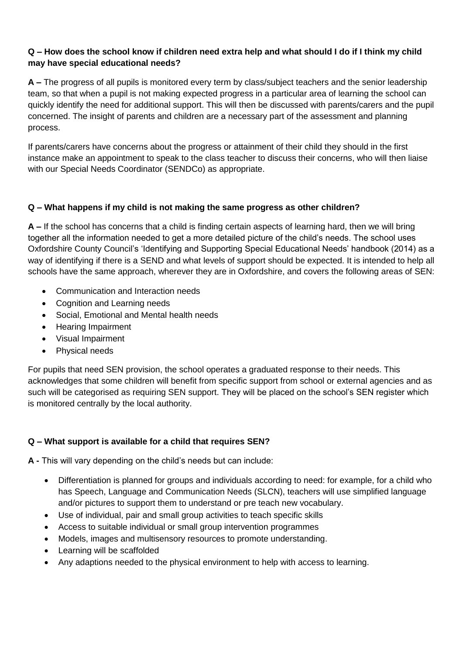## **Q – How does the school know if children need extra help and what should I do if I think my child may have special educational needs?**

**A –** The progress of all pupils is monitored every term by class/subject teachers and the senior leadership team, so that when a pupil is not making expected progress in a particular area of learning the school can quickly identify the need for additional support. This will then be discussed with parents/carers and the pupil concerned. The insight of parents and children are a necessary part of the assessment and planning process.

If parents/carers have concerns about the progress or attainment of their child they should in the first instance make an appointment to speak to the class teacher to discuss their concerns, who will then liaise with our Special Needs Coordinator (SENDCo) as appropriate.

# **Q – What happens if my child is not making the same progress as other children?**

**A –** If the school has concerns that a child is finding certain aspects of learning hard, then we will bring together all the information needed to get a more detailed picture of the child's needs. The school uses Oxfordshire County Council's 'Identifying and Supporting Special Educational Needs' handbook (2014) as a way of identifying if there is a SEND and what levels of support should be expected. It is intended to help all schools have the same approach, wherever they are in Oxfordshire, and covers the following areas of SEN:

- Communication and Interaction needs
- Cognition and Learning needs
- Social, Emotional and Mental health needs
- Hearing Impairment
- Visual Impairment
- Physical needs

For pupils that need SEN provision, the school operates a graduated response to their needs. This acknowledges that some children will benefit from specific support from school or external agencies and as such will be categorised as requiring SEN support. They will be placed on the school's SEN register which is monitored centrally by the local authority.

# **Q – What support is available for a child that requires SEN?**

**A -** This will vary depending on the child's needs but can include:

- Differentiation is planned for groups and individuals according to need: for example, for a child who has Speech, Language and Communication Needs (SLCN), teachers will use simplified language and/or pictures to support them to understand or pre teach new vocabulary.
- Use of individual, pair and small group activities to teach specific skills
- Access to suitable individual or small group intervention programmes
- Models, images and multisensory resources to promote understanding.
- Learning will be scaffolded
- Any adaptions needed to the physical environment to help with access to learning.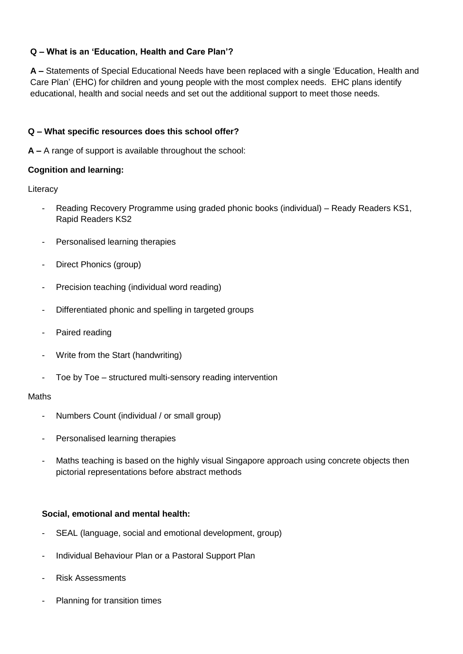# **Q – What is an 'Education, Health and Care Plan'?**

**A –** Statements of Special Educational Needs have been replaced with a single 'Education, Health and Care Plan' (EHC) for children and young people with the most complex needs. EHC plans identify educational, health and social needs and set out the additional support to meet those needs.

# **Q – What specific resources does this school offer?**

**A –** A range of support is available throughout the school:

### **Cognition and learning:**

**Literacy** 

- Reading Recovery Programme using graded phonic books (individual) Ready Readers KS1, Rapid Readers KS2
- Personalised learning therapies
- Direct Phonics (group)
- Precision teaching (individual word reading)
- Differentiated phonic and spelling in targeted groups
- Paired reading
- Write from the Start (handwriting)
- Toe by Toe structured multi-sensory reading intervention

#### Maths

- Numbers Count (individual / or small group)
- Personalised learning therapies
- Maths teaching is based on the highly visual Singapore approach using concrete objects then pictorial representations before abstract methods

### **Social, emotional and mental health:**

- SEAL (language, social and emotional development, group)
- Individual Behaviour Plan or a Pastoral Support Plan
- Risk Assessments
- Planning for transition times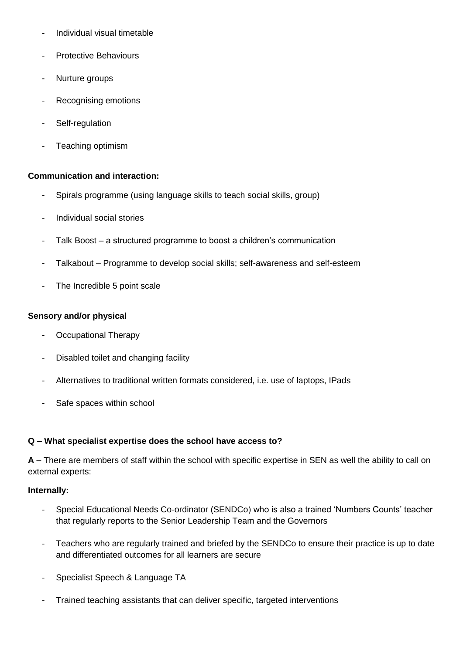- Individual visual timetable
- Protective Behaviours
- Nurture groups
- Recognising emotions
- Self-regulation
- Teaching optimism

#### **Communication and interaction:**

- Spirals programme (using language skills to teach social skills, group)
- Individual social stories
- Talk Boost a structured programme to boost a children's communication
- Talkabout Programme to develop social skills; self-awareness and self-esteem
- The Incredible 5 point scale

### **Sensory and/or physical**

- Occupational Therapy
- Disabled toilet and changing facility
- Alternatives to traditional written formats considered, i.e. use of laptops, IPads
- Safe spaces within school

#### **Q – What specialist expertise does the school have access to?**

**A –** There are members of staff within the school with specific expertise in SEN as well the ability to call on external experts:

#### **Internally:**

- Special Educational Needs Co-ordinator (SENDCo) who is also a trained 'Numbers Counts' teacher that regularly reports to the Senior Leadership Team and the Governors
- Teachers who are regularly trained and briefed by the SENDCo to ensure their practice is up to date and differentiated outcomes for all learners are secure
- Specialist Speech & Language TA
- Trained teaching assistants that can deliver specific, targeted interventions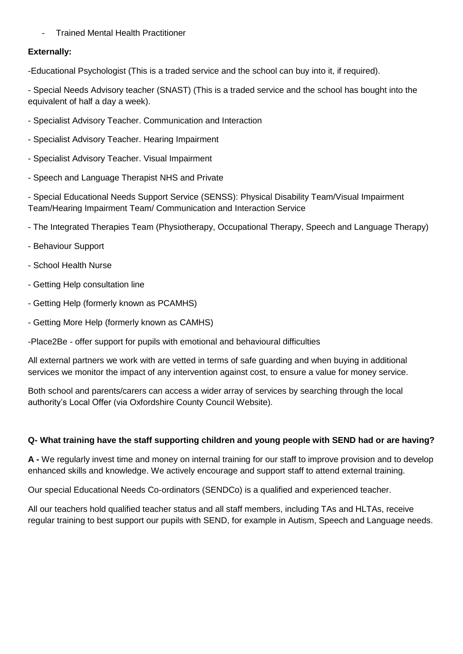- Trained Mental Health Practitioner

### **Externally:**

-Educational Psychologist (This is a traded service and the school can buy into it, if required).

- Special Needs Advisory teacher (SNAST) (This is a traded service and the school has bought into the equivalent of half a day a week).

- Specialist Advisory Teacher. Communication and Interaction
- Specialist Advisory Teacher. Hearing Impairment
- Specialist Advisory Teacher. Visual Impairment
- Speech and Language Therapist NHS and Private

- Special Educational Needs Support Service (SENSS): Physical Disability Team/Visual Impairment Team/Hearing Impairment Team/ Communication and Interaction Service

- The Integrated Therapies Team (Physiotherapy, Occupational Therapy, Speech and Language Therapy)
- Behaviour Support
- School Health Nurse
- Getting Help consultation line
- Getting Help (formerly known as PCAMHS)
- Getting More Help (formerly known as CAMHS)

-Place2Be - offer support for pupils with emotional and behavioural difficulties

All external partners we work with are vetted in terms of safe guarding and when buying in additional services we monitor the impact of any intervention against cost, to ensure a value for money service.

Both school and parents/carers can access a wider array of services by searching through the local authority's Local Offer (via Oxfordshire County Council Website).

### **Q- What training have the staff supporting children and young people with SEND had or are having?**

**A -** We regularly invest time and money on internal training for our staff to improve provision and to develop enhanced skills and knowledge. We actively encourage and support staff to attend external training.

Our special Educational Needs Co-ordinators (SENDCo) is a qualified and experienced teacher.

All our teachers hold qualified teacher status and all staff members, including TAs and HLTAs, receive regular training to best support our pupils with SEND, for example in Autism, Speech and Language needs.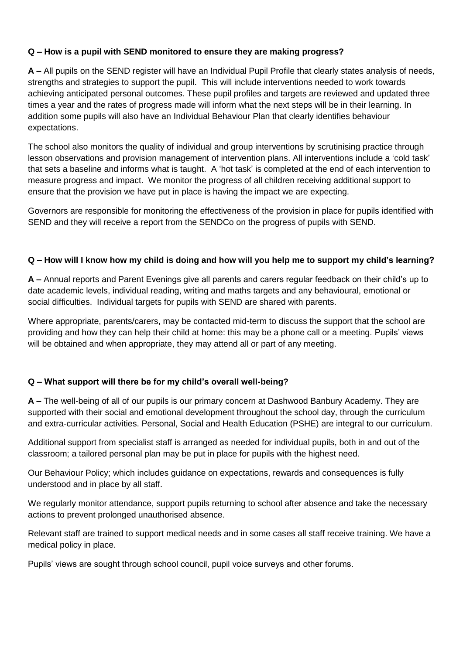## **Q – How is a pupil with SEND monitored to ensure they are making progress?**

**A –** All pupils on the SEND register will have an Individual Pupil Profile that clearly states analysis of needs, strengths and strategies to support the pupil. This will include interventions needed to work towards achieving anticipated personal outcomes. These pupil profiles and targets are reviewed and updated three times a year and the rates of progress made will inform what the next steps will be in their learning. In addition some pupils will also have an Individual Behaviour Plan that clearly identifies behaviour expectations.

The school also monitors the quality of individual and group interventions by scrutinising practice through lesson observations and provision management of intervention plans. All interventions include a 'cold task' that sets a baseline and informs what is taught. A 'hot task' is completed at the end of each intervention to measure progress and impact. We monitor the progress of all children receiving additional support to ensure that the provision we have put in place is having the impact we are expecting.

Governors are responsible for monitoring the effectiveness of the provision in place for pupils identified with SEND and they will receive a report from the SENDCo on the progress of pupils with SEND.

### **Q – How will I know how my child is doing and how will you help me to support my child's learning?**

**A –** Annual reports and Parent Evenings give all parents and carers regular feedback on their child's up to date academic levels, individual reading, writing and maths targets and any behavioural, emotional or social difficulties. Individual targets for pupils with SEND are shared with parents.

Where appropriate, parents/carers, may be contacted mid-term to discuss the support that the school are providing and how they can help their child at home: this may be a phone call or a meeting. Pupils' views will be obtained and when appropriate, they may attend all or part of any meeting.

### **Q – What support will there be for my child's overall well-being?**

**A –** The well-being of all of our pupils is our primary concern at Dashwood Banbury Academy. They are supported with their social and emotional development throughout the school day, through the curriculum and extra-curricular activities. Personal, Social and Health Education (PSHE) are integral to our curriculum.

Additional support from specialist staff is arranged as needed for individual pupils, both in and out of the classroom; a tailored personal plan may be put in place for pupils with the highest need.

Our Behaviour Policy; which includes guidance on expectations, rewards and consequences is fully understood and in place by all staff.

We regularly monitor attendance, support pupils returning to school after absence and take the necessary actions to prevent prolonged unauthorised absence.

Relevant staff are trained to support medical needs and in some cases all staff receive training. We have a medical policy in place.

Pupils' views are sought through school council, pupil voice surveys and other forums.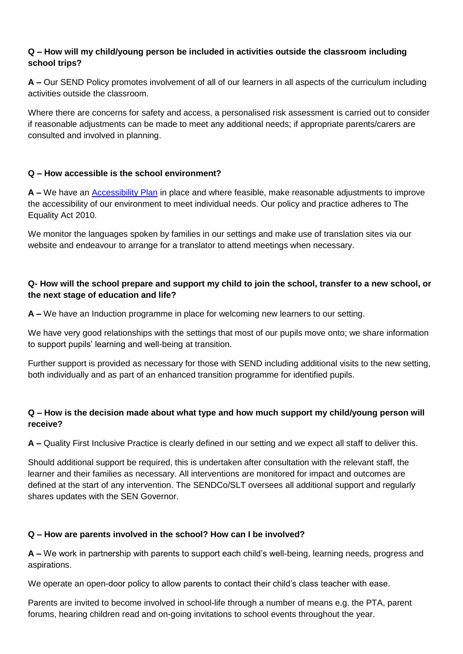## **Q – How will my child/young person be included in activities outside the classroom including school trips?**

**A –** Our SEND Policy promotes involvement of all of our learners in all aspects of the curriculum including activities outside the classroom.

Where there are concerns for safety and access, a personalised risk assessment is carried out to consider if reasonable adjustments can be made to meet any additional needs; if appropriate parents/carers are consulted and involved in planning.

### **Q – How accessible is the school environment?**

**A –** We have an [Accessibility Plan](http://www.dashwood-aspirations.org/uploads/asset_file/3_121_accessibility-plan-dashwood-2019-2021.pdf) in place and where feasible, make reasonable adjustments to improve the accessibility of our environment to meet individual needs. Our policy and practice adheres to The Equality Act 2010.

We monitor the languages spoken by families in our settings and make use of translation sites via our website and endeavour to arrange for a translator to attend meetings when necessary.

## **Q- How will the school prepare and support my child to join the school, transfer to a new school, or the next stage of education and life?**

**A –** We have an Induction programme in place for welcoming new learners to our setting.

We have very good relationships with the settings that most of our pupils move onto; we share information to support pupils' learning and well-being at transition.

Further support is provided as necessary for those with SEND including additional visits to the new setting, both individually and as part of an enhanced transition programme for identified pupils.

### **Q – How is the decision made about what type and how much support my child/young person will receive?**

**A –** Quality First Inclusive Practice is clearly defined in our setting and we expect all staff to deliver this.

Should additional support be required, this is undertaken after consultation with the relevant staff, the learner and their families as necessary. All interventions are monitored for impact and outcomes are defined at the start of any intervention. The SENDCo/SLT oversees all additional support and regularly shares updates with the SEN Governor.

### **Q – How are parents involved in the school? How can I be involved?**

**A –** We work in partnership with parents to support each child's well-being, learning needs, progress and aspirations.

We operate an open-door policy to allow parents to contact their child's class teacher with ease.

Parents are invited to become involved in school-life through a number of means e.g. the PTA, parent forums, hearing children read and on-going invitations to school events throughout the year.